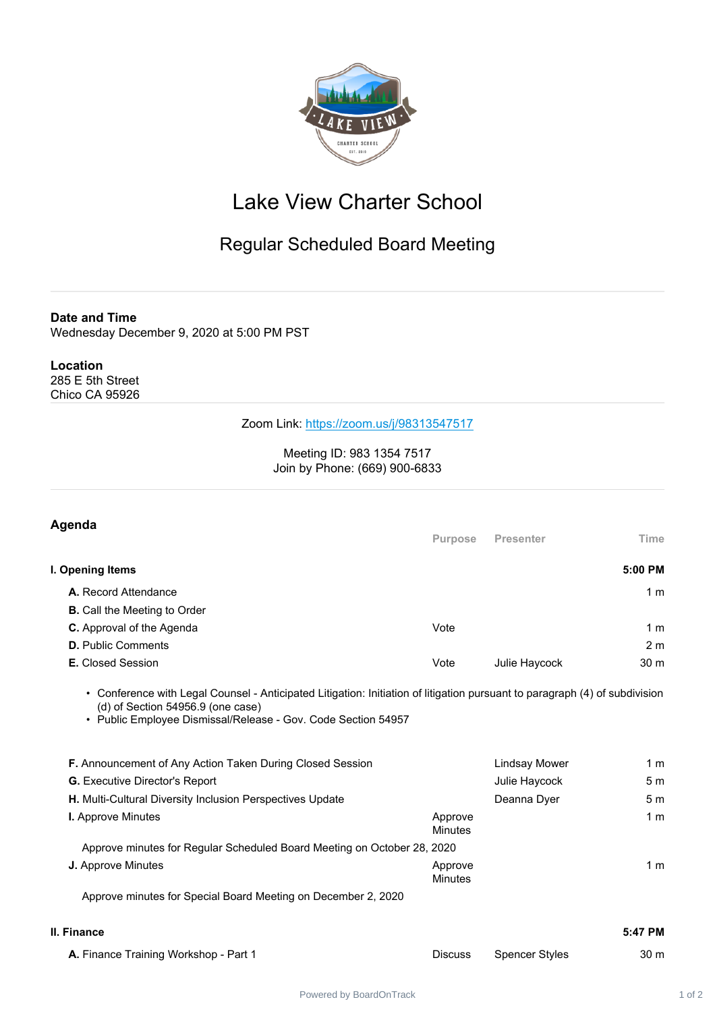

## Lake View Charter School

## Regular Scheduled Board Meeting

**Date and Time**

Wednesday December 9, 2020 at 5:00 PM PST

## **Location**

285 E 5th Street Chico CA 95926

## Zoom Link: <https://zoom.us/j/98313547517>

Meeting ID: 983 1354 7517 Join by Phone: (669) 900-6833

| Agenda                                                                                                                                                                                                                              | <b>Purpose</b>            | <b>Presenter</b>      | Time           |
|-------------------------------------------------------------------------------------------------------------------------------------------------------------------------------------------------------------------------------------|---------------------------|-----------------------|----------------|
|                                                                                                                                                                                                                                     |                           |                       |                |
| I. Opening Items                                                                                                                                                                                                                    |                           |                       | 5:00 PM        |
| A. Record Attendance                                                                                                                                                                                                                |                           |                       | 1 <sub>m</sub> |
| <b>B.</b> Call the Meeting to Order                                                                                                                                                                                                 |                           |                       |                |
| <b>C.</b> Approval of the Agenda                                                                                                                                                                                                    | Vote                      |                       | 1 <sub>m</sub> |
| <b>D.</b> Public Comments                                                                                                                                                                                                           |                           |                       | 2 <sub>m</sub> |
| <b>E.</b> Closed Session                                                                                                                                                                                                            | Vote                      | Julie Haycock         | 30 m           |
| • Conference with Legal Counsel - Anticipated Litigation: Initiation of litigation pursuant to paragraph (4) of subdivision<br>$(d)$ of Section 54956.9 (one case)<br>• Public Employee Dismissal/Release - Gov. Code Section 54957 |                           |                       |                |
| <b>F.</b> Announcement of Any Action Taken During Closed Session                                                                                                                                                                    |                           | <b>Lindsay Mower</b>  | 1 <sub>m</sub> |
| <b>G.</b> Executive Director's Report                                                                                                                                                                                               |                           | Julie Haycock         | 5 <sub>m</sub> |
| H. Multi-Cultural Diversity Inclusion Perspectives Update                                                                                                                                                                           |                           | Deanna Dyer           | 5 <sub>m</sub> |
| I. Approve Minutes                                                                                                                                                                                                                  | Approve<br><b>Minutes</b> |                       | 1 <sub>m</sub> |
| Approve minutes for Regular Scheduled Board Meeting on October 28, 2020                                                                                                                                                             |                           |                       |                |
| <b>J.</b> Approve Minutes                                                                                                                                                                                                           | Approve<br><b>Minutes</b> |                       | 1 <sub>m</sub> |
| Approve minutes for Special Board Meeting on December 2, 2020                                                                                                                                                                       |                           |                       |                |
| II. Finance                                                                                                                                                                                                                         |                           |                       | 5:47 PM        |
| A. Finance Training Workshop - Part 1                                                                                                                                                                                               | <b>Discuss</b>            | <b>Spencer Styles</b> | 30 m           |